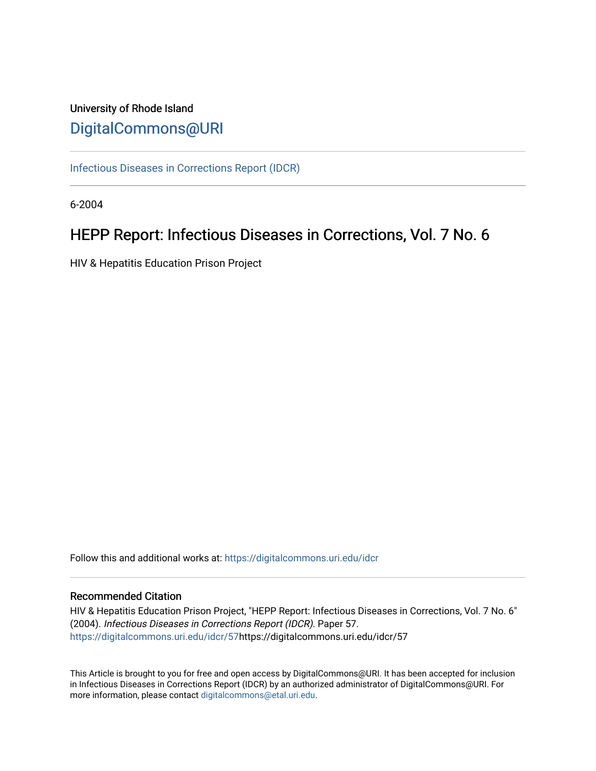# University of Rhode Island [DigitalCommons@URI](https://digitalcommons.uri.edu/)

[Infectious Diseases in Corrections Report \(IDCR\)](https://digitalcommons.uri.edu/idcr)

6-2004

# HEPP Report: Infectious Diseases in Corrections, Vol. 7 No. 6

HIV & Hepatitis Education Prison Project

Follow this and additional works at: [https://digitalcommons.uri.edu/idcr](https://digitalcommons.uri.edu/idcr?utm_source=digitalcommons.uri.edu%2Fidcr%2F57&utm_medium=PDF&utm_campaign=PDFCoverPages)

## Recommended Citation

HIV & Hepatitis Education Prison Project, "HEPP Report: Infectious Diseases in Corrections, Vol. 7 No. 6" (2004). Infectious Diseases in Corrections Report (IDCR). Paper 57. [https://digitalcommons.uri.edu/idcr/57h](https://digitalcommons.uri.edu/idcr/57?utm_source=digitalcommons.uri.edu%2Fidcr%2F57&utm_medium=PDF&utm_campaign=PDFCoverPages)ttps://digitalcommons.uri.edu/idcr/57

This Article is brought to you for free and open access by DigitalCommons@URI. It has been accepted for inclusion in Infectious Diseases in Corrections Report (IDCR) by an authorized administrator of DigitalCommons@URI. For more information, please contact [digitalcommons@etal.uri.edu.](mailto:digitalcommons@etal.uri.edu)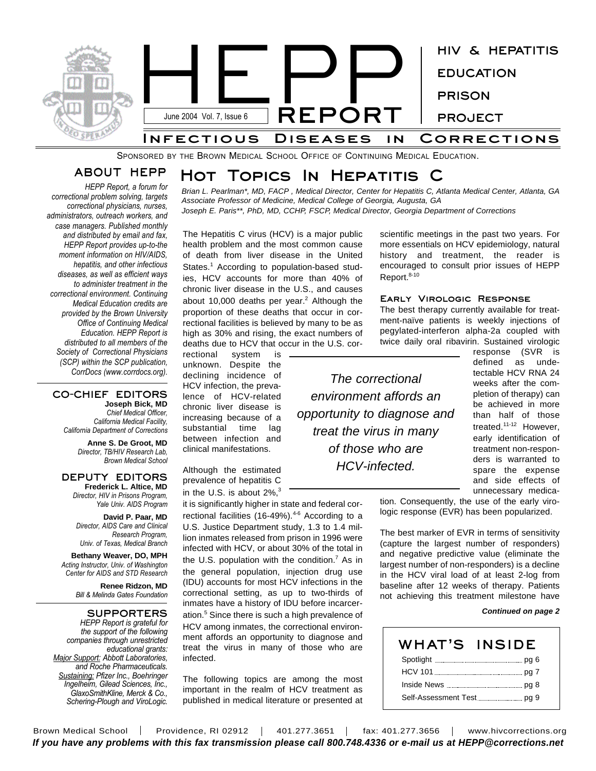

SPONSORED BY THE BROWN MEDICAL SCHOOL OFFICE OF CONTINUING MEDICAL EDUCATION.

## **ABOUT HEPP**

*HEPP Report, a forum for correctional problem solving, targets correctional physicians, nurses, administrators, outreach workers, and case managers. Published monthly and distributed by email and fax, HEPP Report provides up-to-the moment information on HIV/AIDS, hepatitis, and other infectious diseases, as well as efficient ways to administer treatment in the correctional environment. Continuing Medical Education credits are provided by the Brown University Office of Continuing Medical Education. HEPP Report is distributed to all members of the Society of Correctional Physicians (SCP) within the SCP publication, CorrDocs (www.corrdocs.org).*

#### **CO-CHIEF EDITORS Joseph Bick, MD** *Chief Medical Officer,*

*California Medical Facility, California Department of Corrections*

> **Anne S. De Groot, MD** *Director, TB/HIV Research Lab, Brown Medical School*

#### **DEPUTY EDITORS Frederick L. Altice, MD**

*Director, HIV in Prisons Program, Yale Univ. AIDS Program*

**David P. Paar, MD** *Director, AIDS Care and Clinical Research Program, Univ. of Texas, Medical Branch*

**Bethany Weaver, DO, MPH** *Acting Instructor, Univ. of Washington Center for AIDS and STD Research*

> **Renee Ridzon, MD** *Bill & Melinda Gates Foundation*

**SUPPORTERS** *HEPP Report is grateful for the support of the following companies through unrestricted educational grants: Major Support: Abbott Laboratories, and Roche Pharmaceuticals. Sustaining: Pfizer Inc., Boehringer Ingelheim, Gilead Sciences, Inc., GlaxoSmithKline, Merck & Co., Schering-Plough and ViroLogic.*

# **Hot Topics In Hepatitis C**

*Brian L. Pearlman\*, MD, FACP , Medical Director, Center for Hepatitis C, Atlanta Medical Center, Atlanta, GA Associate Professor of Medicine, Medical College of Georgia, Augusta, GA Joseph E. Paris\*\*, PhD, MD, CCHP, FSCP, Medical Director, Georgia Department of Corrections*

The Hepatitis C virus (HCV) is a major public health problem and the most common cause of death from liver disease in the United States.<sup>1</sup> According to population-based studies, HCV accounts for more than 40% of chronic liver disease in the U.S., and causes about 10,000 deaths per year.<sup>2</sup> Although the proportion of these deaths that occur in correctional facilities is believed by many to be as high as 30% and rising, the exact numbers of deaths due to HCV that occur in the U.S. cor-

rectional system is unknown. Despite the declining incidence of HCV infection, the prevalence of HCV-related chronic liver disease is increasing because of a substantial time lag between infection and clinical manifestations.

Although the estimated prevalence of hepatitis C in the U.S. is about 2%, $3$ 

it is significantly higher in state and federal correctional facilities (16-49%).<sup>4-6</sup> According to a U.S. Justice Department study, 1.3 to 1.4 million inmates released from prison in 1996 were infected with HCV, or about 30% of the total in the U.S. population with the condition.<sup>7</sup> As in the general population, injection drug use (IDU) accounts for most HCV infections in the correctional setting, as up to two-thirds of inmates have a history of IDU before incarceration. <sup>5</sup> Since there is such a high prevalence of HCV among inmates, the correctional environment affords an opportunity to diagnose and treat the virus in many of those who are infected.

The following topics are among the most important in the realm of HCV treatment as published in medical literature or presented at scientific meetings in the past two years. For more essentials on HCV epidemiology, natural history and treatment, the reader is encouraged to consult prior issues of HEPP Report.<sup>8-10</sup>

#### **Early Virologic Response**

The best therapy currently available for treatment-naïve patients is weekly injections of pegylated-interferon alpha-2a coupled with twice daily oral ribavirin. Sustained virologic

*The correctional environment affords an opportunity to diagnose and treat the virus in many of those who are HCV-infected.*

response (SVR is defined as undetectable HCV RNA 24 weeks after the completion of therapy) can be achieved in more than half of those treated.<sup>11-12</sup> However, early identification of treatment non-responders is warranted to spare the expense and side effects of unnecessary medica-

tion. Consequently, the use of the early virologic response (EVR) has been popularized.

The best marker of EVR in terms of sensitivity (capture the largest number of responders) and negative predictive value (eliminate the largest number of non-responders) is a decline in the HCV viral load of at least 2-log from baseline after 12 weeks of therapy. Patients not achieving this treatment milestone have

#### *Continued on page 2*

| WHAT'S INSIDE |  |
|---------------|--|
|               |  |
|               |  |
|               |  |
|               |  |

Brown Medical School | Providence, RI 02912 | 401.277.3651 | fax: 401.277.3656 | www.hivcorrections.org *If you have any problems with this fax transmission please call 800.748.4336 or e-mail us at HEPP@corrections.net*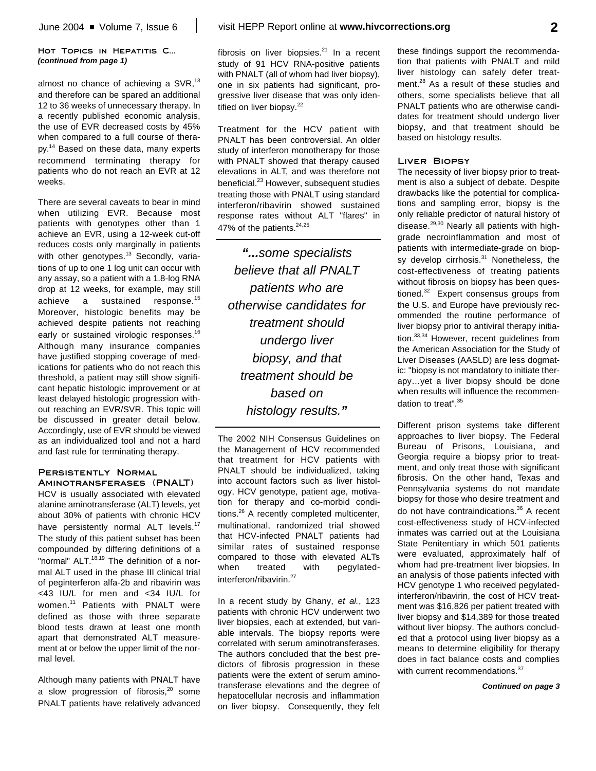#### **Hot Topics in Hepatitis C...** *(continued from page 1)*

almost no chance of achieving a SVR,<sup>13</sup> and therefore can be spared an additional 12 to 36 weeks of unnecessary therapy. In a recently published economic analysis, the use of EVR decreased costs by 45% when compared to a full course of therapy.<sup>14</sup> Based on these data, many experts recommend terminating therapy for patients who do not reach an EVR at 12 weeks.

There are several caveats to bear in mind when utilizing EVR. Because most patients with genotypes other than 1 achieve an EVR, using a 12-week cut-off reduces costs only marginally in patients with other genotypes.<sup>13</sup> Secondly, variations of up to one 1 log unit can occur with any assay, so a patient with a 1.8-log RNA drop at 12 weeks, for example, may still achieve a sustained response.<sup>15</sup> Moreover, histologic benefits may be achieved despite patients not reaching early or sustained virologic responses.<sup>16</sup> Although many insurance companies have justified stopping coverage of medications for patients who do not reach this threshold, a patient may still show significant hepatic histologic improvement or at least delayed histologic progression without reaching an EVR/SVR. This topic will be discussed in greater detail below. Accordingly, use of EVR should be viewed as an individualized tool and not a hard and fast rule for terminating therapy.

#### **Persistently Normal Aminotransferases (PNALT)**

HCV is usually associated with elevated alanine aminotransferase (ALT) levels, yet about 30% of patients with chronic HCV have persistently normal ALT levels.<sup>17</sup> The study of this patient subset has been compounded by differing definitions of a "normal" ALT.<sup>18,19</sup> The definition of a normal ALT used in the phase III clinical trial of peginterferon alfa-2b and ribavirin was <43 IU/L for men and <34 IU/L for women. <sup>11</sup> Patients with PNALT were defined as those with three separate blood tests drawn at least one month apart that demonstrated ALT measurement at or below the upper limit of the normal level.

Although many patients with PNALT have a slow progression of fibrosis,<sup>20</sup> some PNALT patients have relatively advanced

fibrosis on liver biopsies.<sup>21</sup> In a recent study of 91 HCV RNA-positive patients with PNALT (all of whom had liver biopsy), one in six patients had significant, progressive liver disease that was only identified on liver biopsy.<sup>22</sup>

Treatment for the HCV patient with PNALT has been controversial. An older study of interferon monotherapy for those with PNALT showed that therapy caused elevations in ALT, and was therefore not beneficial. <sup>23</sup> However, subsequent studies treating those with PNALT using standard interferon/ribavirin showed sustained response rates without ALT "flares" in 47% of the patients. $24,25$ 

*"...some specialists believe that all PNALT patients who are otherwise candidates for treatment should undergo liver biopsy, and that treatment should be based on histology results."*

The 2002 NIH Consensus Guidelines on the Management of HCV recommended that treatment for HCV patients with PNALT should be individualized, taking into account factors such as liver histology, HCV genotype, patient age, motivation for therapy and co-morbid conditions.<sup>26</sup> A recently completed multicenter, multinational, randomized trial showed that HCV-infected PNALT patients had similar rates of sustained response compared to those with elevated ALTs when treated with pegylatedinterferon/ribavirin. 27

In a recent study by Ghany, *et al.*, 123 patients with chronic HCV underwent two liver biopsies, each at extended, but variable intervals. The biopsy reports were correlated with serum aminotransferases. The authors concluded that the best predictors of fibrosis progression in these patients were the extent of serum aminotransferase elevations and the degree of hepatocellular necrosis and inflammation on liver biopsy. Consequently, they felt these findings support the recommendation that patients with PNALT and mild liver histology can safely defer treatment.<sup>28</sup> As a result of these studies and others, some specialists believe that all PNALT patients who are otherwise candidates for treatment should undergo liver biopsy, and that treatment should be based on histology results.

#### **Liver Biopsy**

The necessity of liver biopsy prior to treatment is also a subject of debate. Despite drawbacks like the potential for complications and sampling error, biopsy is the only reliable predictor of natural history of disease.<sup>29,30</sup> Nearly all patients with highgrade necroinflammation and most of patients with intermediate-grade on biopsy develop cirrhosis.<sup>31</sup> Nonetheless, the cost-effectiveness of treating patients without fibrosis on biopsy has been questioned.<sup>32</sup> Expert consensus groups from the U.S. and Europe have previously recommended the routine performance of liver biopsy prior to antiviral therapy initiation.<sup>33,34</sup> However, recent guidelines from the American Association for the Study of Liver Diseases (AASLD) are less dogmatic: "biopsy is not mandatory to initiate therapy…yet a liver biopsy should be done when results will influence the recommendation to treat".<sup>35</sup>

Different prison systems take different approaches to liver biopsy. The Federal Bureau of Prisons, Louisiana, and Georgia require a biopsy prior to treatment, and only treat those with significant fibrosis. On the other hand, Texas and Pennsylvania systems do not mandate biopsy for those who desire treatment and do not have contraindications. <sup>36</sup> A recent cost-effectiveness study of HCV-infected inmates was carried out at the Louisiana State Penitentiary in which 501 patients were evaluated, approximately half of whom had pre-treatment liver biopsies. In an analysis of those patients infected with HCV genotype 1 who received pegylatedinterferon/ribavirin, the cost of HCV treatment was \$16,826 per patient treated with liver biopsy and \$14,389 for those treated without liver biopsy. The authors concluded that a protocol using liver biopsy as a means to determine eligibility for therapy does in fact balance costs and complies with current recommendations.<sup>37</sup>

*Continued on page 3*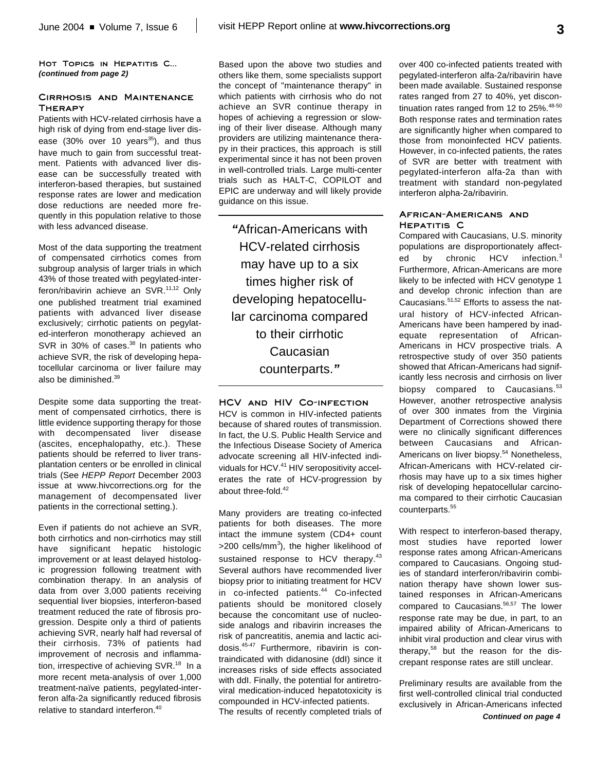HOT TOPICS IN HEPATITIS C... *(continued from page 2)*

#### **Cirrhosis and Maintenance Therapy**

Patients with HCV-related cirrhosis have a high risk of dying from end-stage liver disease (30% over 10 years<sup>35</sup>), and thus have much to gain from successful treatment. Patients with advanced liver disease can be successfully treated with interferon-based therapies, but sustained response rates are lower and medication dose reductions are needed more frequently in this population relative to those with less advanced disease.

Most of the data supporting the treatment of compensated cirrhotics comes from subgroup analysis of larger trials in which 43% of those treated with pegylated-interferon/ribavirin achieve an SVR.<sup>11,12</sup> Only one published treatment trial examined patients with advanced liver disease exclusively; cirrhotic patients on pegylated-interferon monotherapy achieved an SVR in 30% of cases.<sup>38</sup> In patients who achieve SVR, the risk of developing hepatocellular carcinoma or liver failure may also be diminished. 39

Despite some data supporting the treatment of compensated cirrhotics, there is little evidence supporting therapy for those with decompensated liver disease (ascites, encephalopathy, etc.). These patients should be referred to liver transplantation centers or be enrolled in clinical trials (See *HEPP Report* December 2003 issue at www.hivcorrections.org for the management of decompensated liver patients in the correctional setting.).

Even if patients do not achieve an SVR, both cirrhotics and non-cirrhotics may still have significant hepatic histologic improvement or at least delayed histologic progression following treatment with combination therapy. In an analysis of data from over 3,000 patients receiving sequential liver biopsies, interferon-based treatment reduced the rate of fibrosis progression. Despite only a third of patients achieving SVR, nearly half had reversal of their cirrhosis. 73% of patients had improvement of necrosis and inflammation, irrespective of achieving SVR.<sup>18</sup> In a more recent meta-analysis of over 1,000 treatment-naïve patients, pegylated-interferon alfa-2a significantly reduced fibrosis relative to standard interferon. 40

Based upon the above two studies and others like them, some specialists support the concept of "maintenance therapy" in which patients with cirrhosis who do not achieve an SVR continue therapy in hopes of achieving a regression or slowing of their liver disease. Although many providers are utilizing maintenance therapy in their practices, this approach is still experimental since it has not been proven in well-controlled trials. Large multi-center trials such as HALT-C, COPILOT and EPIC are underway and will likely provide guidance on this issue.

*"*African-Americans with HCV-related cirrhosis may have up to a six times higher risk of developing hepatocellular carcinoma compared to their cirrhotic Caucasian counterparts.*"*

**HCV and HIV Co-infection** HCV is common in HIV-infected patients because of shared routes of transmission. In fact, the U.S. Public Health Service and the Infectious Disease Society of America advocate screening all HIV-infected individuals for HCV.<sup>41</sup> HIV seropositivity accelerates the rate of HCV-progression by about three-fold. 42

Many providers are treating co-infected patients for both diseases. The more intact the immune system (CD4+ count >200 cells/mm<sup>3</sup>), the higher likelihood of sustained response to HCV therapy.<sup>43</sup> Several authors have recommended liver biopsy prior to initiating treatment for HCV in co-infected patients. <sup>44</sup> Co-infected patients should be monitored closely because the concomitant use of nucleoside analogs and ribavirin increases the risk of pancreatitis, anemia and lactic acidosis. 45-47 Furthermore, ribavirin is contraindicated with didanosine (ddI) since it increases risks of side effects associated with ddI. Finally, the potential for antiretroviral medication-induced hepatotoxicity is compounded in HCV-infected patients. The results of recently completed trials of

over 400 co-infected patients treated with pegylated-interferon alfa-2a/ribavirin have been made available. Sustained response rates ranged from 27 to 40%, yet discontinuation rates ranged from 12 to 25%.<sup>48-50</sup> Both response rates and termination rates are significantly higher when compared to those from monoinfected HCV patients. However, in co-infected patients, the rates of SVR are better with treatment with pegylated-interferon alfa-2a than with treatment with standard non-pegylated interferon alpha-2a/ribavirin.

#### **African-Americans and Hepatitis C**

Compared with Caucasians, U.S. minority populations are disproportionately affected by chronic HCV infection.<sup>3</sup> Furthermore, African-Americans are more likely to be infected with HCV genotype 1 and develop chronic infection than are Caucasians. 51,52 Efforts to assess the natural history of HCV-infected African-Americans have been hampered by inadequate representation of African-Americans in HCV prospective trials. A retrospective study of over 350 patients showed that African-Americans had significantly less necrosis and cirrhosis on liver biopsy compared to Caucasians.<sup>53</sup> However, another retrospective analysis of over 300 inmates from the Virginia Department of Corrections showed there were no clinically significant differences between Caucasians and African-Americans on liver biopsy. <sup>54</sup> Nonetheless, African-Americans with HCV-related cirrhosis may have up to a six times higher risk of developing hepatocellular carcinoma compared to their cirrhotic Caucasian counterparts. 55

With respect to interferon-based therapy, most studies have reported lower response rates among African-Americans compared to Caucasians. Ongoing studies of standard interferon/ribavirin combination therapy have shown lower sustained responses in African-Americans compared to Caucasians.<sup>56,57</sup> The lower response rate may be due, in part, to an impaired ability of African-Americans to inhibit viral production and clear virus with therapy, 58 but the reason for the discrepant response rates are still unclear.

Preliminary results are available from the first well-controlled clinical trial conducted exclusively in African-Americans infected *Continued on page 4*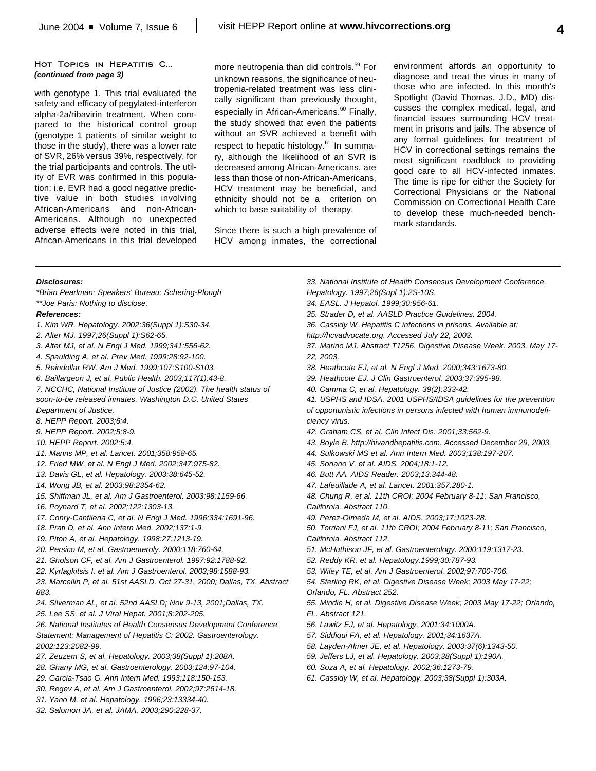#### HOT TOPICS IN HEPATITIS C... *(continued from page 3)*

with genotype 1. This trial evaluated the safety and efficacy of pegylated-interferon alpha-2a/ribavirin treatment. When compared to the historical control group (genotype 1 patients of similar weight to those in the study), there was a lower rate of SVR, 26% versus 39%, respectively, for the trial participants and controls. The utility of EVR was confirmed in this population; i.e. EVR had a good negative predictive value in both studies involving African-Americans and non-African-Americans. Although no unexpected adverse effects were noted in this trial, African-Americans in this trial developed

more neutropenia than did controls. 59 For unknown reasons, the significance of neutropenia-related treatment was less clinically significant than previously thought, especially in African-Americans.<sup>60</sup> Finally, the study showed that even the patients without an SVR achieved a benefit with respect to hepatic histology.<sup>61</sup> In summary, although the likelihood of an SVR is decreased among African-Americans, are less than those of non-African-Americans, HCV treatment may be beneficial, and ethnicity should not be a criterion on which to base suitability of therapy.

Since there is such a high prevalence of HCV among inmates, the correctional environment affords an opportunity to diagnose and treat the virus in many of those who are infected. In this month's Spotlight (David Thomas, J.D., MD) discusses the complex medical, legal, and financial issues surrounding HCV treatment in prisons and jails. The absence of any formal guidelines for treatment of HCV in correctional settings remains the most significant roadblock to providing good care to all HCV-infected inmates. The time is ripe for either the Society for Correctional Physicians or the National Commission on Correctional Health Care to develop these much-needed benchmark standards.

#### *Disclosures:*

*\*Brian Pearlman: Speakers' Bureau: Schering-Plough \*\*Joe Paris: Nothing to disclose.*

#### *References:*

- *1. Kim WR. Hepatology. 2002;36(Suppl 1):S30-34.*
- *2. Alter MJ. 1997;26(Suppl 1):S62-65.*
- *3. Alter MJ, et al. N Engl J Med. 1999;341:556-62.*
- *4. Spaulding A, et al. Prev Med. 1999;28:92-100.*
- *5. Reindollar RW. Am J Med. 1999;107:S100-S103.*
- *6. Baillargeon J, et al. Public Health. 2003;117(1);43-8.*
- *7. NCCHC, National Institute of Justice (2002). The health status of soon-to-be released inmates. Washington D.C. United States*
- *Department of Justice.*
- *8. HEPP Report. 2003;6:4.*
- *9. HEPP Report. 2002;5:8-9.*
- *10. HEPP Report. 2002;5:4.*
- *11. Manns MP, et al. Lancet. 2001;358:958-65.*
- *12. Fried MW, et al. N Engl J Med. 2002;347:975-82.*
- *13. Davis GL, et al. Hepatology. 2003;38:645-52.*
- *14. Wong JB, et al. 2003;98:2354-62.*
- *15. Shiffman JL, et al. Am J Gastroenterol. 2003;98:1159-66.*
- *16. Poynard T, et al. 2002;122:1303-13.*
- *17. Conry-Cantilena C, et al. N Engl J Med. 1996;334:1691-96.*
- *18. Prati D, et al. Ann Intern Med. 2002;137:1-9.*
- *19. Piton A, et al. Hepatology. 1998:27:1213-19.*
- *20. Persico M, et al. Gastroenteroly. 2000;118:760-64.*
- *21. Gholson CF, et al. Am J Gastroenterol. 1997:92:1788-92.*
- *22. Kyrlagkitsis I, et al. Am J Gastroenterol. 2003;98:1588-93.*
- *23. Marcellin P, et al. 51st AASLD. Oct 27-31, 2000; Dallas, TX. Abstract 883.*
- *24. Silverman AL, et al. 52nd AASLD; Nov 9-13, 2001;Dallas, TX.*
- *25. Lee SS, et al. J Viral Hepat. 2001;8:202-205.*
- *26. National Institutes of Health Consensus Development Conference Statement: Management of Hepatitis C: 2002. Gastroenterology. 2002:123:2082-99.*
- *27. Zeuzem S, et al. Hepatology. 2003;38(Suppl 1):208A.*
- *28. Ghany MG, et al. Gastroenterology. 2003;124:97-104.*
- *29. Garcia-Tsao G. Ann Intern Med. 1993;118:150-153.*
- *30. Regev A, et al. Am J Gastroenterol. 2002;97:2614-18.*
- *31. Yano M, et al. Hepatology. 1996;23:13334-40.*
- *32. Salomon JA, et al. JAMA. 2003;290:228-37.*
- *33. National Institute of Health Consensus Development Conference. Hepatology. 1997;26(Supl 1):2S-10S. 34. EASL. J Hepatol. 1999;30:956-61. 35. Strader D, et al. AASLD Practice Guidelines. 2004. 36. Cassidy W. Hepatitis C infections in prisons. Available at: http://hcvadvocate.org. Accessed July 22, 2003. 37. Marino MJ. Abstract T1256. Digestive Disease Week. 2003. May 17- 22, 2003. 38. Heathcote EJ, et al. N Engl J Med. 2000;343:1673-80. 39. Heathcote EJ. J Clin Gastroenterol. 2003;37:395-98. 40. Camma C, et al. Hepatology. 39(2):333-42. 41. USPHS and IDSA. 2001 USPHS/IDSA guidelines for the prevention of opportunistic infections in persons infected with human immunodeficiency virus. 42. Graham CS, et al. Clin Infect Dis. 2001;33:562-9. 43. Boyle B. http://hivandhepatitis.com. Accessed December 29, 2003. 44. Sulkowski MS et al. Ann Intern Med. 2003;138:197-207. 45. Soriano V, et al. AIDS. 2004;18:1-12. 46. Butt AA. AIDS Reader. 2003;13:344-48. 47. Lafeuillade A, et al. Lancet. 2001:357:280-1. 48. Chung R, et al. 11th CROI; 2004 February 8-11; San Francisco, California. Abstract 110. 49. Perez-Olmeda M, et al. AIDS. 2003;17:1023-28. 50. Torriani FJ, et al. 11th CROI; 2004 February 8-11; San Francisco, California. Abstract 112. 51. McHuthison JF, et al. Gastroenterology. 2000;119:1317-23. 52. Reddy KR, et al. Hepatology.1999;30:787-93. 53. Wiley TE, et al. Am J Gastroenterol. 2002;97:700-706. 54. Sterling RK, et al. Digestive Disease Week; 2003 May 17-22; Orlando, FL. Abstract 252. 55. Mindie H, et al. Digestive Disease Week; 2003 May 17-22; Orlando, FL. Abstract 121. 56. Lawitz EJ, et al. Hepatology. 2001;34:1000A.*
- *57. Siddiqui FA, et al. Hepatology. 2001;34:1637A.*
- *58. Layden-Almer JE, et al. Hepatology. 2003;37(6):1343-50.*
- *59. Jeffers LJ, et al. Hepatology. 2003;38(Suppl 1):190A.*
- *60. Soza A, et al. Hepatology. 2002;36:1273-79.*
- *61. Cassidy W, et al. Hepatology. 2003;38(Suppl 1):303A.*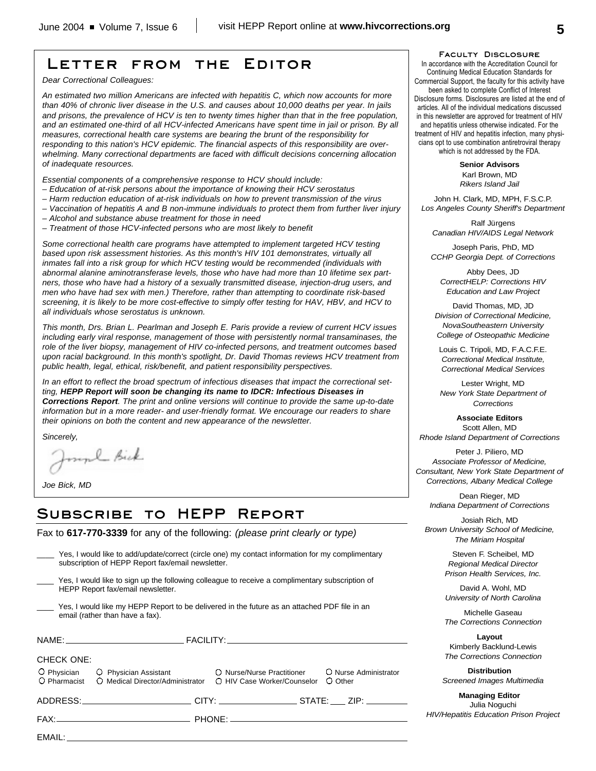## **Letter from the Editor**

*Dear Correctional Colleagues:*

*An estimated two million Americans are infected with hepatitis C, which now accounts for more than 40% of chronic liver disease in the U.S. and causes about 10,000 deaths per year. In jails and prisons, the prevalence of HCV is ten to twenty times higher than that in the free population, and an estimated one-third of all HCV-infected Americans have spent time in jail or prison. By all measures, correctional health care systems are bearing the brunt of the responsibility for responding to this nation's HCV epidemic. The financial aspects of this responsibility are overwhelming. Many correctional departments are faced with difficult decisions concerning allocation of inadequate resources.* 

*Essential components of a comprehensive response to HCV should include:*

- *Education of at-risk persons about the importance of knowing their HCV serostatus*
- *Harm reduction education of at-risk individuals on how to prevent transmission of the virus*
- *Vaccination of hepatitis A and B non-immune individuals to protect them from further liver injury*
- *Alcohol and substance abuse treatment for those in need*
- *Treatment of those HCV-infected persons who are most likely to benefit*

*Some correctional health care programs have attempted to implement targeted HCV testing based upon risk assessment histories. As this month's HIV 101 demonstrates, virtually all inmates fall into a risk group for which HCV testing would be recommended (individuals with abnormal alanine aminotransferase levels, those who have had more than 10 lifetime sex partners, those who have had a history of a sexually transmitted disease, injection-drug users, and men who have had sex with men.) Therefore, rather than attempting to coordinate risk-based screening, it is likely to be more cost-effective to simply offer testing for HAV, HBV, and HCV to all individuals whose serostatus is unknown.* 

*This month, Drs. Brian L. Pearlman and Joseph E. Paris provide a review of current HCV issues including early viral response, management of those with persistently normal transaminases, the role of the liver biopsy, management of HIV co-infected persons, and treatment outcomes based upon racial background. In this month's spotlight, Dr. David Thomas reviews HCV treatment from public health, legal, ethical, risk/benefit, and patient responsibility perspectives.*

*In an effort to reflect the broad spectrum of infectious diseases that impact the correctional setting, HEPP Report will soon be changing its name to IDCR: Infectious Diseases in Corrections Report. The print and online versions will continue to provide the same up-to-date information but in a more reader- and user-friendly format. We encourage our readers to share their opinions on both the content and new appearance of the newsletter.*

*Sincerely,* 

mpl Bick

*Joe Bick, MD*

EMAIL:

## **Subscribe to HEPP Report**

Fax to **617-770-3339** for any of the following: *(please print clearly or type)*

|                   | Yes, I would like to add/update/correct (circle one) my contact information for my complimentary<br>subscription of HEPP Report fax/email newsletter. |                                    |
|-------------------|-------------------------------------------------------------------------------------------------------------------------------------------------------|------------------------------------|
|                   | Yes, I would like to sign up the following colleague to receive a complimentary subscription of<br>HEPP Report fax/email newsletter.                  |                                    |
|                   | Yes, I would like my HEPP Report to be delivered in the future as an attached PDF file in an<br>email (rather than have a fax).                       |                                    |
|                   |                                                                                                                                                       |                                    |
| <b>CHECK ONE:</b> |                                                                                                                                                       |                                    |
|                   | O Physician C Physician Assistant C Nurse/Nurse Practitioner<br>O Pharmacist O Medical Director/Administrator O HIV Case Worker/Counselor             | O Nurse Administrator<br>$O$ Other |
|                   | ADDRESS:___________________________CITY: ___________________STATE: ____ ZIP: ________                                                                 |                                    |
|                   |                                                                                                                                                       |                                    |

**Faculty Disclosure**

In accordance with the Accreditation Council for Continuing Medical Education Standards for Commercial Support, the faculty for this activity have been asked to complete Conflict of Interest Disclosure forms. Disclosures are listed at the end of articles. All of the individual medications discussed in this newsletter are approved for treatment of HIV and hepatitis unless otherwise indicated. For the treatment of HIV and hepatitis infection, many physicians opt to use combination antiretroviral therapy which is not addressed by the FDA.

> **Senior Advisors** Karl Brown, MD

> *Rikers Island Jail*

John H. Clark, MD, MPH, F.S.C.P. *Los Angeles County Sheriff's Department*

Ralf Jürgens *Canadian HIV/AIDS Legal Network*

Joseph Paris, PhD, MD *CCHP Georgia Dept. of Corrections*

Abby Dees, JD *CorrectHELP: Corrections HIV Education and Law Project*

David Thomas, MD, JD *Division of Correctional Medicine, NovaSoutheastern University College of Osteopathic Medicine*

Louis C. Tripoli, MD, F.A.C.F.E. *Correctional Medical Institute, Correctional Medical Services*

Lester Wright, MD *New York State Department of Corrections*

**Associate Editors** Scott Allen, MD *Rhode Island Department of Corrections*

Peter J. Piliero, MD *Associate Professor of Medicine, Consultant, New York State Department of Corrections, Albany Medical College*

> Dean Rieger, MD *Indiana Department of Corrections*

Josiah Rich, MD *Brown University School of Medicine, The Miriam Hospital*

> Steven F. Scheibel, MD *Regional Medical Director Prison Health Services, Inc.*

> David A. Wohl, MD *University of North Carolina*

> Michelle Gaseau *The Corrections Connection*

> **Layout** Kimberly Backlund-Lewis *The Corrections Connection*

**Distribution** *Screened Images Multimedia*

**Managing Editor** Julia Noguchi *HIV/Hepatitis Education Prison Project*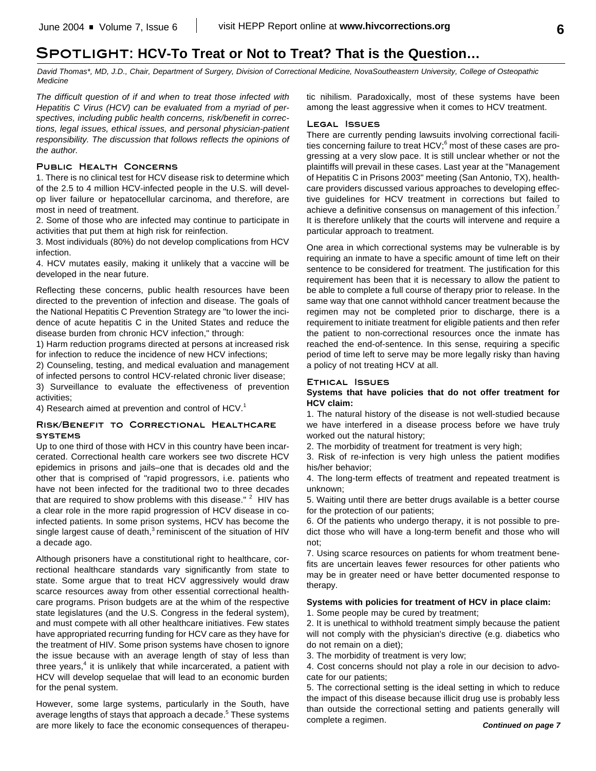## **Spotlight: HCV-To Treat or Not to Treat? That is the Question…**

*David Thomas\*, MD, J.D., Chair, Department of Surgery, Division of Correctional Medicine, NovaSoutheastern University, College of Osteopathic Medicine*

*The difficult question of if and when to treat those infected with Hepatitis C Virus (HCV) can be evaluated from a myriad of perspectives, including public health concerns, risk/benefit in corrections, legal issues, ethical issues, and personal physician-patient responsibility. The discussion that follows reflects the opinions of the author.*

#### **Public Health Concerns**

1. There is no clinical test for HCV disease risk to determine which of the 2.5 to 4 million HCV-infected people in the U.S. will develop liver failure or hepatocellular carcinoma, and therefore, are most in need of treatment.

2. Some of those who are infected may continue to participate in activities that put them at high risk for reinfection.

3. Most individuals (80%) do not develop complications from HCV infection.

4. HCV mutates easily, making it unlikely that a vaccine will be developed in the near future.

Reflecting these concerns, public health resources have been directed to the prevention of infection and disease. The goals of the National Hepatitis C Prevention Strategy are "to lower the incidence of acute hepatitis C in the United States and reduce the disease burden from chronic HCV infection," through:

1) Harm reduction programs directed at persons at increased risk for infection to reduce the incidence of new HCV infections;

2) Counseling, testing, and medical evaluation and management of infected persons to control HCV-related chronic liver disease;

3) Surveillance to evaluate the effectiveness of prevention activities;

4) Research aimed at prevention and control of HCV.<sup>1</sup>

#### **Risk/Benefit to Correctional Healthcare systems**

Up to one third of those with HCV in this country have been incarcerated. Correctional health care workers see two discrete HCV epidemics in prisons and jails–one that is decades old and the other that is comprised of "rapid progressors, i.e. patients who have not been infected for the traditional two to three decades that are required to show problems with this disease."  $2$  HIV has a clear role in the more rapid progression of HCV disease in coinfected patients. In some prison systems, HCV has become the single largest cause of death, $3$  reminiscent of the situation of HIV a decade ago.

Although prisoners have a constitutional right to healthcare, correctional healthcare standards vary significantly from state to state. Some argue that to treat HCV aggressively would draw scarce resources away from other essential correctional healthcare programs. Prison budgets are at the whim of the respective state legislatures (and the U.S. Congress in the federal system), and must compete with all other healthcare initiatives. Few states have appropriated recurring funding for HCV care as they have for the treatment of HIV. Some prison systems have chosen to ignore the issue because with an average length of stay of less than three years,<sup>4</sup> it is unlikely that while incarcerated, a patient with HCV will develop sequelae that will lead to an economic burden for the penal system.

However, some large systems, particularly in the South, have average lengths of stays that approach a decade.<sup>5</sup> These systems are more likely to face the economic consequences of therapeutic nihilism. Paradoxically, most of these systems have been among the least aggressive when it comes to HCV treatment.

### **Legal Issues**

There are currently pending lawsuits involving correctional facilities concerning failure to treat HCV;<sup>6</sup> most of these cases are progressing at a very slow pace. It is still unclear whether or not the plaintiffs will prevail in these cases. Last year at the "Management of Hepatitis C in Prisons 2003" meeting (San Antonio, TX), healthcare providers discussed various approaches to developing effective guidelines for HCV treatment in corrections but failed to achieve a definitive consensus on management of this infection.<sup>7</sup> It is therefore unlikely that the courts will intervene and require a particular approach to treatment.

One area in which correctional systems may be vulnerable is by requiring an inmate to have a specific amount of time left on their sentence to be considered for treatment. The justification for this requirement has been that it is necessary to allow the patient to be able to complete a full course of therapy prior to release. In the same way that one cannot withhold cancer treatment because the regimen may not be completed prior to discharge, there is a requirement to initiate treatment for eligible patients and then refer the patient to non-correctional resources once the inmate has reached the end-of-sentence. In this sense, requiring a specific period of time left to serve may be more legally risky than having a policy of not treating HCV at all.

### **Ethical Issues**

#### **Systems that have policies that do not offer treatment for HCV claim:**

1. The natural history of the disease is not well-studied because we have interfered in a disease process before we have truly worked out the natural history;

2. The morbidity of treatment for treatment is very high;

3. Risk of re-infection is very high unless the patient modifies his/her behavior;

4. The long-term effects of treatment and repeated treatment is unknown;

5. Waiting until there are better drugs available is a better course for the protection of our patients;

6. Of the patients who undergo therapy, it is not possible to predict those who will have a long-term benefit and those who will not;

7. Using scarce resources on patients for whom treatment benefits are uncertain leaves fewer resources for other patients who may be in greater need or have better documented response to therapy.

#### **Systems with policies for treatment of HCV in place claim:**

1. Some people may be cured by treatment;

2. It is unethical to withhold treatment simply because the patient will not comply with the physician's directive (e.g. diabetics who do not remain on a diet);

3. The morbidity of treatment is very low;

4. Cost concerns should not play a role in our decision to advocate for our patients;

5. The correctional setting is the ideal setting in which to reduce the impact of this disease because illicit drug use is probably less than outside the correctional setting and patients generally will complete a regimen.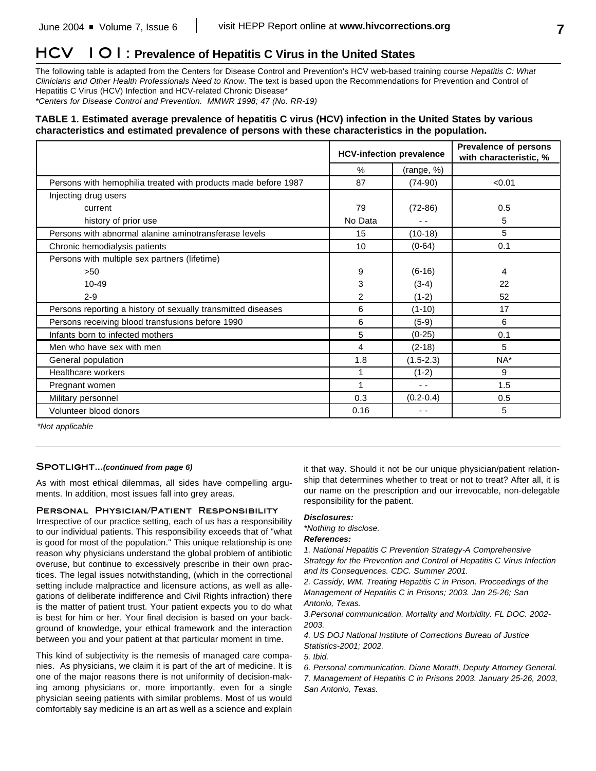## **HCV 101: Prevalence of Hepatitis C Virus in the United States**

The following table is adapted from the Centers for Disease Control and Prevention's HCV web-based training course *Hepatitis C: What Clinicians and Other Health Professionals Need to Know*. The text is based upon the Recommendations for Prevention and Control of Hepatitis C Virus (HCV) Infection and HCV-related Chronic Disease\* *\*Centers for Disease Control and Prevention. MMWR 1998; 47 (No. RR-19)*

## **TABLE 1. Estimated average prevalence of hepatitis C virus (HCV) infection in the United States by various characteristics and estimated prevalence of persons with these characteristics in the population.**

|                                                                | <b>HCV-infection prevalence</b> |               | <b>Prevalence of persons</b><br>with characteristic, % |
|----------------------------------------------------------------|---------------------------------|---------------|--------------------------------------------------------|
|                                                                | %                               | (range, %)    |                                                        |
| Persons with hemophilia treated with products made before 1987 | 87                              | $(74-90)$     | < 0.01                                                 |
| Injecting drug users                                           |                                 |               |                                                        |
| current                                                        | 79                              | $(72-86)$     | 0.5                                                    |
| history of prior use                                           | No Data                         |               | 5                                                      |
| Persons with abnormal alanine aminotransferase levels          | 15                              | $(10-18)$     | 5                                                      |
| Chronic hemodialysis patients                                  | 10                              | $(0-64)$      | 0.1                                                    |
| Persons with multiple sex partners (lifetime)                  |                                 |               |                                                        |
| >50                                                            | 9                               | $(6-16)$      | 4                                                      |
| $10 - 49$                                                      | 3                               | $(3-4)$       | 22                                                     |
| $2 - 9$                                                        | 2                               | $(1-2)$       | 52                                                     |
| Persons reporting a history of sexually transmitted diseases   | 6                               | $(1-10)$      | 17                                                     |
| Persons receiving blood transfusions before 1990               | 6                               | $(5-9)$       | 6                                                      |
| Infants born to infected mothers                               | 5                               | $(0-25)$      | 0.1                                                    |
| Men who have sex with men                                      | 4                               | $(2-18)$      | 5                                                      |
| General population                                             | 1.8                             | $(1.5 - 2.3)$ | NA*                                                    |
| <b>Healthcare workers</b>                                      | 1                               | $(1-2)$       | 9                                                      |
| Pregnant women                                                 | 1                               | $\sim$ $\sim$ | 1.5                                                    |
| Military personnel                                             | 0.3                             | $(0.2 - 0.4)$ | 0.5                                                    |
| Volunteer blood donors                                         | 0.16                            | - -           | 5                                                      |

*\*Not applicable*

#### SPOTLIGHT...*(continued from page 6)*

As with most ethical dilemmas, all sides have compelling arguments. In addition, most issues fall into grey areas.

#### **Personal Physician/Patient Responsibility**

Irrespective of our practice setting, each of us has a responsibility to our individual patients. This responsibility exceeds that of "what is good for most of the population." This unique relationship is one reason why physicians understand the global problem of antibiotic overuse, but continue to excessively prescribe in their own practices. The legal issues notwithstanding, (which in the correctional setting include malpractice and licensure actions, as well as allegations of deliberate indifference and Civil Rights infraction) there is the matter of patient trust. Your patient expects you to do what is best for him or her. Your final decision is based on your background of knowledge, your ethical framework and the interaction between you and your patient at that particular moment in time.

This kind of subjectivity is the nemesis of managed care companies. As physicians, we claim it is part of the art of medicine. It is one of the major reasons there is not uniformity of decision-making among physicians or, more importantly, even for a single physician seeing patients with similar problems. Most of us would comfortably say medicine is an art as well as a science and explain

it that way. Should it not be our unique physician/patient relationship that determines whether to treat or not to treat? After all, it is our name on the prescription and our irrevocable, non-delegable responsibility for the patient.

#### *Disclosures:*

*\*Nothing to disclose.*

*References:*

*1. National Hepatitis C Prevention Strategy-A Comprehensive Strategy for the Prevention and Control of Hepatitis C Virus Infection and its Consequences. CDC. Summer 2001.*

*2. Cassidy, WM. Treating Hepatitis C in Prison. Proceedings of the Management of Hepatitis C in Prisons; 2003. Jan 25-26; San Antonio, Texas.*

*3.Personal communication. Mortality and Morbidity. FL DOC. 2002- 2003.*

*4. US DOJ National Institute of Corrections Bureau of Justice Statistics-2001; 2002.*

*5. Ibid.*

*6. Personal communication. Diane Moratti, Deputy Attorney General. 7. Management of Hepatitis C in Prisons 2003. January 25-26, 2003, San Antonio, Texas.*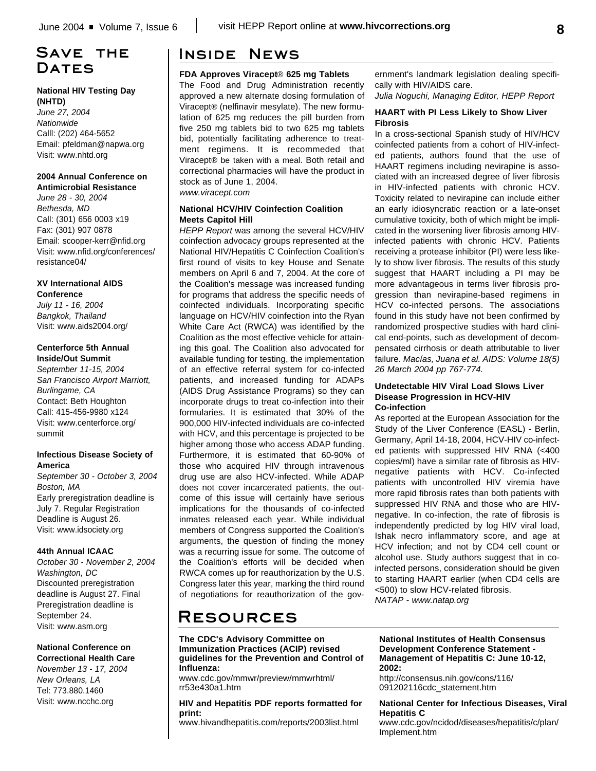## **Save the** DATES

#### **National HIV Testing Day (NHTD)**

*June 27, 2004 Nationwide* Calll: (202) 464-5652 Email: pfeldman@napwa.org Visit: www.nhtd.org

#### **2004 Annual Conference on Antimicrobial Resistance**

*June 28 - 30, 2004 Bethesda, MD* Call: (301) 656 0003 x19 Fax: (301) 907 0878 Email: scooper-kerr@nfid.org Visit: www.nfid.org/conferences/ resistance04/

#### **XV International AIDS Conference**

*July 11 - 16, 2004 Bangkok, Thailand* Visit: www.aids2004.org/

#### **Centerforce 5th Annual Inside/Out Summit**

*September 11-15, 2004 San Francisco Airport Marriott, Burlingame, CA* Contact: Beth Houghton Call: 415-456-9980 x124 Visit: www.centerforce.org/ summit

### **Infectious Disease Society of America**

*September 30 - October 3, 2004 Boston, MA* Early preregistration deadline is July 7. Regular Registration Deadline is August 26. Visit: www.idsociety.org

### **44th Annual ICAAC**

*October 30 - November 2, 2004 Washington, DC* Discounted preregistration deadline is August 27. Final Preregistration deadline is September 24. Visit: www.asm.org

#### **National Conference on Correctional Health Care**

*November 13 - 17, 2004 New Orleans, LA* Tel: 773.880.1460 Visit: www.ncchc.org

## **Inside News**

## **FDA Approves Viracept**® **625 mg Tablets**

The Food and Drug Administration recently approved a new alternate dosing formulation of Viracept® (nelfinavir mesylate). The new formulation of 625 mg reduces the pill burden from five 250 mg tablets bid to two 625 mg tablets bid, potentially facilitating adherence to treatment regimens. It is recommeded that Viracept® be taken with a meal. Both retail and correctional pharmacies will have the product in stock as of June 1, 2004.

# *www.viracept.com*

### **National HCV/HIV Coinfection Coalition Meets Capitol Hill**

*HEPP Report* was among the several HCV/HIV coinfection advocacy groups represented at the National HIV/Hepatitis C Coinfection Coalition's first round of visits to key House and Senate members on April 6 and 7, 2004. At the core of the Coalition's message was increased funding for programs that address the specific needs of coinfected individuals. Incorporating specific language on HCV/HIV coinfection into the Ryan White Care Act (RWCA) was identified by the Coalition as the most effective vehicle for attaining this goal. The Coalition also advocated for available funding for testing, the implementation of an effective referral system for co-infected patients, and increased funding for ADAPs (AIDS Drug Assistance Programs) so they can incorporate drugs to treat co-infection into their formularies. It is estimated that 30% of the 900,000 HIV-infected individuals are co-infected with HCV, and this percentage is projected to be higher among those who access ADAP funding. Furthermore, it is estimated that 60-90% of those who acquired HIV through intravenous drug use are also HCV-infected. While ADAP does not cover incarcerated patients, the outcome of this issue will certainly have serious implications for the thousands of co-infected inmates released each year. While individual members of Congress supported the Coalition's arguments, the question of finding the money was a recurring issue for some. The outcome of the Coalition's efforts will be decided when RWCA comes up for reauthorization by the U.S. Congress later this year, marking the third round of negotiations for reauthorization of the gov-

ernment's landmark legislation dealing specifically with HIV/AIDS care.

*Julia Noguchi, Managing Editor, HEPP Report*

#### **HAART with PI Less Likely to Show Liver Fibrosis**

In a cross-sectional Spanish study of HIV/HCV coinfected patients from a cohort of HIV-infected patients, authors found that the use of HAART regimens including nevirapine is associated with an increased degree of liver fibrosis in HIV-infected patients with chronic HCV. Toxicity related to nevirapine can include either an early idiosyncratic reaction or a late-onset cumulative toxicity, both of which might be implicated in the worsening liver fibrosis among HIVinfected patients with chronic HCV. Patients receiving a protease inhibitor (PI) were less likely to show liver fibrosis. The results of this study suggest that HAART including a PI may be more advantageous in terms liver fibrosis progression than nevirapine-based regimens in HCV co-infected persons. The associations found in this study have not been confirmed by randomized prospective studies with hard clinical end-points, such as development of decompensated cirrhosis or death attributable to liver failure. *Macías, Juana et al. AIDS: Volume 18(5) 26 March 2004 pp 767-774.*

#### **Undetectable HIV Viral Load Slows Liver Disease Progression in HCV-HIV Co-infection**

As reported at the European Association for the Study of the Liver Conference (EASL) - Berlin, Germany, April 14-18, 2004, HCV-HIV co-infected patients with suppressed HIV RNA (<400 copies/ml) have a similar rate of fibrosis as HIVnegative patients with HCV. Co-infected patients with uncontrolled HIV viremia have more rapid fibrosis rates than both patients with suppressed HIV RNA and those who are HIVnegative. In co-infection, the rate of fibrosis is independently predicted by log HIV viral load, Ishak necro inflammatory score, and age at HCV infection; and not by CD4 cell count or alcohol use. Study authors suggest that in coinfected persons, consideration should be given to starting HAART earlier (when CD4 cells are <500) to slow HCV-related fibrosis. *NATAP - www.natap.org*

# **Resources**

#### **The CDC's Advisory Committee on Immunization Practices (ACIP) revised guidelines for the Prevention and Control of Influenza:**

www.cdc.gov/mmwr/preview/mmwrhtml/ rr53e430a1.htm

**HIV and Hepatitis PDF reports formatted for print:**

www.hivandhepatitis.com/reports/2003list.html

#### **National Institutes of Health Consensus Development Conference Statement - Management of Hepatitis C: June 10-12, 2002:**

http://consensus.nih.gov/cons/116/ 091202116cdc\_statement.htm

#### **National Center for Infectious Diseases, Viral Hepatitis C**

www.cdc.gov/ncidod/diseases/hepatitis/c/plan/ Implement.htm